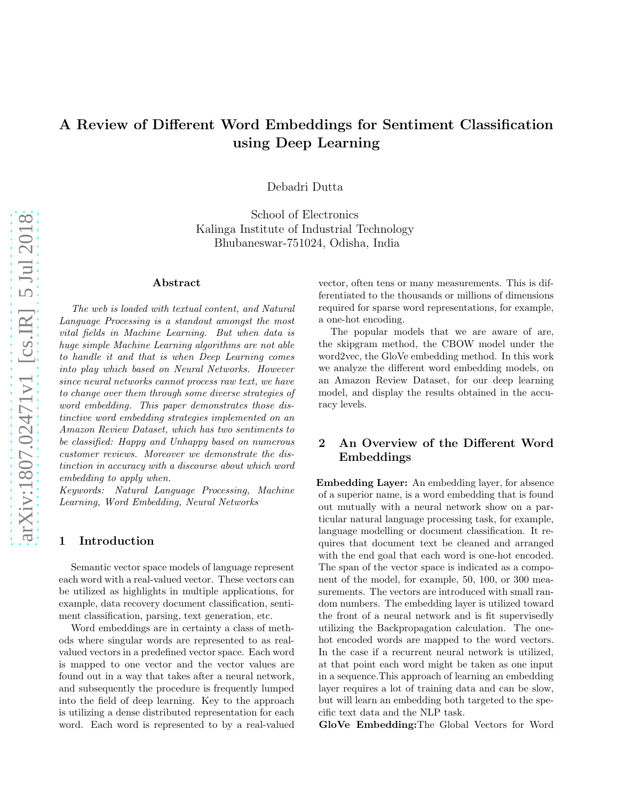# A Review of Different Word Embeddings for Sentiment Classification using Deep Learning

Debadri Dutta

School of Electronics Kalinga Institute of Industrial Technology Bhubaneswar-751024, Odisha, India

#### Abstract

The web is loaded with textual content, and Natural Language Processing is a standout amongst the most vital fields in Machine Learning. But when data is huge simple Machine Learning algorithms are not able to handle it and that is when Deep Learning comes into play which based on Neural Networks. However since neural networks cannot process raw text, we have to change over them through some diverse strategies of word embedding. This paper demonstrates those distinctive word embedding strategies implemented on an Amazon Review Dataset, which has two sentiments to be classified: Happy and Unhappy based on numerous customer reviews. Moreover we demonstrate the distinction in accuracy with a discourse about which word embedding to apply when.

Keywords: Natural Language Processing, Machine Learning, Word Embedding, Neural Networks

### 1 Introduction

Semantic vector space models of language represent each word with a real-valued vector. These vectors can be utilized as highlights in multiple applications, for example, data recovery document classification, sentiment classification, parsing, text generation, etc.

Word embeddings are in certainty a class of methods where singular words are represented to as realvalued vectors in a predefined vector space. Each word is mapped to one vector and the vector values are found out in a way that takes after a neural network, and subsequently the procedure is frequently lumped into the field of deep learning. Key to the approach is utilizing a dense distributed representation for each word. Each word is represented to by a real-valued vector, often tens or many measurements. This is differentiated to the thousands or millions of dimensions required for sparse word representations, for example, a one-hot encoding.

The popular models that we are aware of are, the skipgram method, the CBOW model under the word2vec, the GloVe embedding method. In this work we analyze the different word embedding models, on an Amazon Review Dataset, for our deep learning model, and display the results obtained in the accuracy levels.

# 2 An Overview of the Different Word Embeddings

Embedding Layer: An embedding layer, for absence of a superior name, is a word embedding that is found out mutually with a neural network show on a particular natural language processing task, for example, language modelling or document classification. It requires that document text be cleaned and arranged with the end goal that each word is one-hot encoded. The span of the vector space is indicated as a component of the model, for example, 50, 100, or 300 measurements. The vectors are introduced with small random numbers. The embedding layer is utilized toward the front of a neural network and is fit supervisedly utilizing the Backpropagation calculation. The onehot encoded words are mapped to the word vectors. In the case if a recurrent neural network is utilized, at that point each word might be taken as one input in a sequence.This approach of learning an embedding layer requires a lot of training data and can be slow, but will learn an embedding both targeted to the specific text data and the NLP task.

GloVe Embedding:The Global Vectors for Word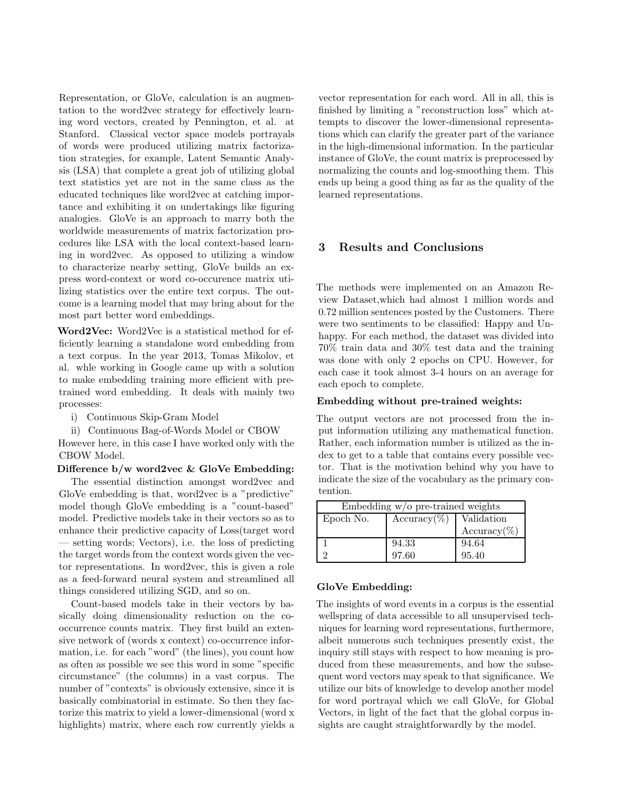Representation, or GloVe, calculation is an augmentation to the word2vec strategy for effectively learning word vectors, created by Pennington, et al. at Stanford. Classical vector space models portrayals of words were produced utilizing matrix factorization strategies, for example, Latent Semantic Analysis (LSA) that complete a great job of utilizing global text statistics yet are not in the same class as the educated techniques like word2vec at catching importance and exhibiting it on undertakings like figuring analogies. GloVe is an approach to marry both the worldwide measurements of matrix factorization procedures like LSA with the local context-based learning in word2vec. As opposed to utilizing a window to characterize nearby setting, GloVe builds an express word-context or word co-occurence matrix utilizing statistics over the entire text corpus. The outcome is a learning model that may bring about for the most part better word embeddings.

Word2Vec: Word2Vec is a statistical method for efficiently learning a standalone word embedding from a text corpus. In the year 2013, Tomas Mikolov, et al. whle working in Google came up with a solution to make embedding training more efficient with pretrained word embedding. It deals with mainly two processes:

- i) Continuous Skip-Gram Model
- ii) Continuous Bag-of-Words Model or CBOW

However here, in this case I have worked only with the CBOW Model.

#### Difference b/w word2vec & GloVe Embedding:

The essential distinction amongst word2vec and GloVe embedding is that, word2vec is a "predictive" model though GloVe embedding is a "count-based" model. Predictive models take in their vectors so as to enhance their predictive capacity of Loss(target word — setting words; Vectors), i.e. the loss of predicting the target words from the context words given the vector representations. In word2vec, this is given a role as a feed-forward neural system and streamlined all things considered utilizing SGD, and so on.

Count-based models take in their vectors by basically doing dimensionality reduction on the cooccurrence counts matrix. They first build an extensive network of (words x context) co-occurrence information, i.e. for each "word" (the lines), you count how as often as possible we see this word in some "specific circumstance" (the columns) in a vast corpus. The number of "contexts" is obviously extensive, since it is basically combinatorial in estimate. So then they factorize this matrix to yield a lower-dimensional (word x highlights) matrix, where each row currently yields a vector representation for each word. All in all, this is finished by limiting a "reconstruction loss" which attempts to discover the lower-dimensional representations which can clarify the greater part of the variance in the high-dimensional information. In the particular instance of GloVe, the count matrix is preprocessed by normalizing the counts and log-smoothing them. This ends up being a good thing as far as the quality of the learned representations.

### 3 Results and Conclusions

The methods were implemented on an Amazon Review Dataset,which had almost 1 million words and 0.72 million sentences posted by the Customers. There were two sentiments to be classified: Happy and Unhappy. For each method, the dataset was divided into 70% train data and 30% test data and the training was done with only 2 epochs on CPU. However, for each case it took almost 3-4 hours on an average for each epoch to complete.

#### Embedding without pre-trained weights:

The output vectors are not processed from the input information utilizing any mathematical function. Rather, each information number is utilized as the index to get to a table that contains every possible vector. That is the motivation behind why you have to indicate the size of the vocabulary as the primary contention.

| Embedding $w/o$ pre-trained weights |                |                |  |
|-------------------------------------|----------------|----------------|--|
| Epoch No.                           | $Accuracy(\%)$ | Validation     |  |
|                                     |                | $Accuracy(\%)$ |  |
|                                     | 94.33          | 94.64          |  |
|                                     | 97.60          | 95.40          |  |

#### GloVe Embedding:

The insights of word events in a corpus is the essential wellspring of data accessible to all unsupervised techniques for learning word representations, furthermore, albeit numerous such techniques presently exist, the inquiry still stays with respect to how meaning is produced from these measurements, and how the subsequent word vectors may speak to that significance. We utilize our bits of knowledge to develop another model for word portrayal which we call GloVe, for Global Vectors, in light of the fact that the global corpus insights are caught straightforwardly by the model.